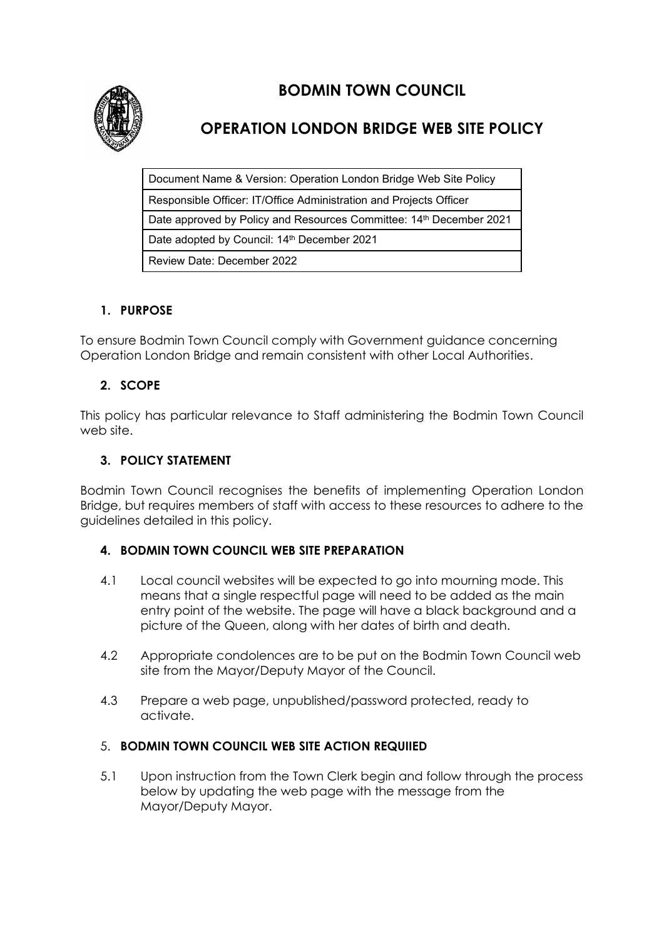

# **BODMIN TOWN COUNCIL**

## **OPERATION LONDON BRIDGE WEB SITE POLICY**

Document Name & Version: Operation London Bridge Web Site Policy Responsible Officer: IT/Office Administration and Projects Officer Date approved by Policy and Resources Committee: 14<sup>th</sup> December 2021 Date adopted by Council: 14<sup>th</sup> December 2021 Review Date: December 2022

## **1. PURPOSE**

To ensure Bodmin Town Council comply with Government guidance concerning Operation London Bridge and remain consistent with other Local Authorities.

## **2. SCOPE**

This policy has particular relevance to Staff administering the Bodmin Town Council web site.

## **3. POLICY STATEMENT**

Bodmin Town Council recognises the benefits of implementing Operation London Bridge, but requires members of staff with access to these resources to adhere to the guidelines detailed in this policy.

#### **4. BODMIN TOWN COUNCIL WEB SITE PREPARATION**

- 4.1 Local council websites will be expected to go into mourning mode. This means that a single respectful page will need to be added as the main entry point of the website. The page will have a black background and a picture of the Queen, along with her dates of birth and death.
- 4.2 Appropriate condolences are to be put on the Bodmin Town Council web site from the Mayor/Deputy Mayor of the Council.
- 4.3 Prepare a web page, unpublished/password protected, ready to activate.

#### 5. **BODMIN TOWN COUNCIL WEB SITE ACTION REQUIIED**

5.1 Upon instruction from the Town Clerk begin and follow through the process below by updating the web page with the message from the Mayor/Deputy Mayor.